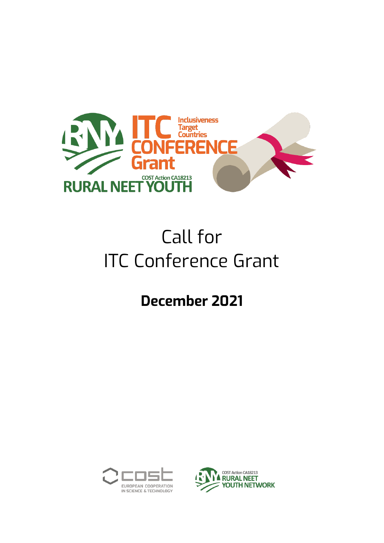

# Call for ITC Conference Grant

# **December 2021**



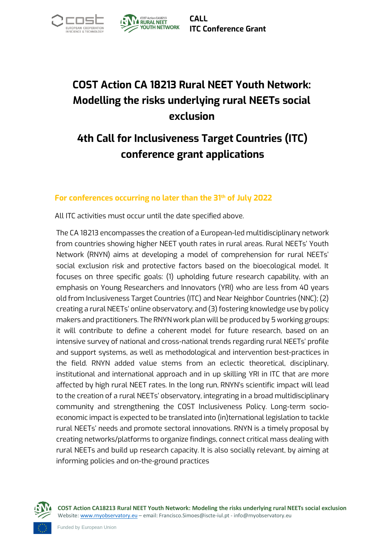



**CALL ITC Conference Grant**

## **COST Action CA 18213 Rural NEET Youth Network: Modelling the risks underlying rural NEETs social exclusion**

## **4th Call for Inclusiveness Target Countries (ITC) conference grant applications**

#### **For conferences occurring no later than the 31th of July 2022**

All ITC activities must occur until the date specified above.

The CA 18213 encompasses the creation of a European-led multidisciplinary network from countries showing higher NEET youth rates in rural areas. Rural NEETs' Youth Network (RNYN) aims at developing a model of comprehension for rural NEETs' social exclusion risk and protective factors based on the bioecological model. It focuses on three specific goals: (1) upholding future research capability, with an emphasis on Young Researchers and Innovators (YRI) who are less from 40 years old from Inclusiveness Target Countries (ITC) and Near Neighbor Countries (NNC); (2) creating a rural NEETs' online observatory; and (3) fostering knowledge use by policy makers and practitioners. The RNYN work plan will be produced by 5 working groups; it will contribute to define a coherent model for future research, based on an intensive survey of national and cross-national trends regarding rural NEETs' profile and support systems, as well as methodological and intervention best-practices in the field. RNYN added value stems from an eclectic theoretical, disciplinary, institutional and international approach and in up skilling YRI in ITC that are more affected by high rural NEET rates. In the long run, RNYN's scientific impact will lead to the creation of a rural NEETs' observatory, integrating in a broad multidisciplinary community and strengthening the COST Inclusiveness Policy. Long-term socioeconomic impact is expected to be translated into (in)ternational legislation to tackle rural NEETs' needs and promote sectoral innovations. RNYN is a timely proposal by creating networks/platforms to organize findings, connect critical mass dealing with rural NEETs and build up research capacity. It is also socially relevant, by aiming at informing policies and on-the-ground practices



**COST Action CA18213 Rural NEET Youth Network: Modeling the risks underlying rural NEETs social exclusion** Website[: www.rnyobservatory.eu](http://www.rnyobservatory.eu/) – email: Francisco.Simoes@iscte-iul.pt - info@rnyobservatory.eu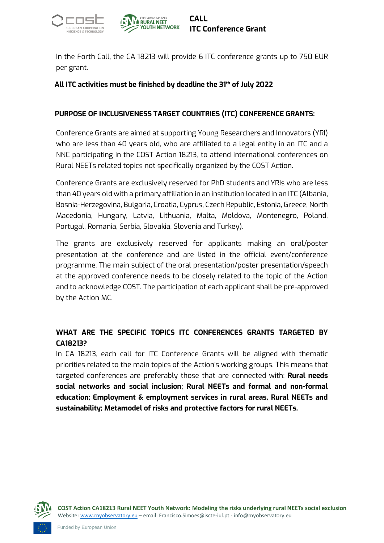



In the Forth Call, the CA 18213 will provide 6 ITC conference grants up to 750 EUR per grant.

#### **All ITC activities must be finished by deadline the 31th of July 2022**

#### **PURPOSE OF INCLUSIVENESS TARGET COUNTRIES (ITC) CONFERENCE GRANTS:**

Conference Grants are aimed at supporting Young Researchers and Innovators (YRI) who are less than 40 years old, who are affiliated to a legal entity in an ITC and a NNC participating in the COST Action 18213, to attend international conferences on Rural NEETs related topics not specifically organized by the COST Action.

Conference Grants are exclusively reserved for PhD students and YRIs who are less than 40 years old with a primary affiliation in an institution located in an ITC (Albania, Bosnia-Herzegovina, Bulgaria, Croatia, Cyprus, Czech Republic, Estonia, Greece, North Macedonia, Hungary, Latvia, Lithuania, Malta, Moldova, Montenegro, Poland, Portugal, Romania, Serbia, Slovakia, Slovenia and Turkey).

The grants are exclusively reserved for applicants making an oral/poster presentation at the conference and are listed in the official event/conference programme. The main subject of the oral presentation/poster presentation/speech at the approved conference needs to be closely related to the topic of the Action and to acknowledge COST. The participation of each applicant shall be pre-approved by the Action MC.

#### **WHAT ARE THE SPECIFIC TOPICS ITC CONFERENCES GRANTS TARGETED BY CA18213?**

In CA 18213, each call for ITC Conference Grants will be aligned with thematic priorities related to the main topics of the Action's working groups. This means that targeted conferences are preferably those that are connected with: **Rural needs social networks and social inclusion; Rural NEETs and formal and non-formal education; Employment & employment services in rural areas, Rural NEETs and sustainability; Metamodel of risks and protective factors for rural NEETs.** 

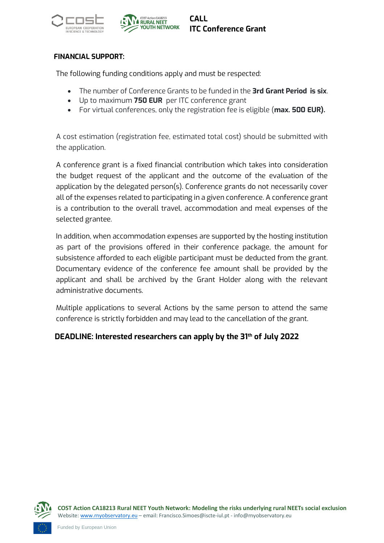



#### **FINANCIAL SUPPORT:**

The following funding conditions apply and must be respected:

- The number of Conference Grants to be funded in the **3rd Grant Period is six**.
- Up to maximum **750 EUR** per ITC conference grant
- For virtual conferences, only the registration fee is eligible (**max. 500 EUR).**

A cost estimation (registration fee, estimated total cost) should be submitted with the application.

A conference grant is a fixed financial contribution which takes into consideration the budget request of the applicant and the outcome of the evaluation of the application by the delegated person(s). Conference grants do not necessarily cover all of the expenses related to participating in a given conference. A conference grant is a contribution to the overall travel, accommodation and meal expenses of the selected grantee.

In addition, when accommodation expenses are supported by the hosting institution as part of the provisions offered in their conference package, the amount for subsistence afforded to each eligible participant must be deducted from the grant. Documentary evidence of the conference fee amount shall be provided by the applicant and shall be archived by the Grant Holder along with the relevant administrative documents.

Multiple applications to several Actions by the same person to attend the same conference is strictly forbidden and may lead to the cancellation of the grant.

#### **DEADLINE: Interested researchers can apply by the 31th of July 2022**

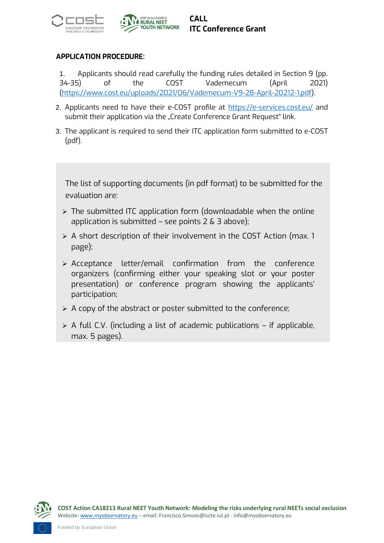



#### **APPLICATION PROCEDURE:**

1. Applicants should read carefully the funding rules detailed in Section 9 (pp. 34-35) of the COST Vademecum (April 2021) [\(https://www.cost.eu/uploads/2021/06/Vademecum-V9-28-April-20212-1.pdf\)](https://www.cost.eu/uploads/2021/06/Vademecum-V9-28-April-20212-1.pdf).

- 2. Applicants need to have their e-COST profile at<https://e-services.cost.eu/> and submit their application via the "Create Conference Grant Request" link.
- 3. The applicant is required to send their ITC application form submitted to e-COST (pdf).

The list of supporting documents (in pdf format) to be submitted for the evaluation are:

- ➢ The submitted ITC application form (downloadable when the online application is submitted – see points  $2 \& 3$  above);
- ➢ A short description of their involvement in the COST Action (max. 1 page);
- ➢ Acceptance letter/email confirmation from the conference organizers (confirming either your speaking slot or your poster presentation) or conference program showing the applicants' participation;
- ➢ A copy of the abstract or poster submitted to the conference;
- $\triangleright$  A full C.V. (including a list of academic publications if applicable, max. 5 pages).

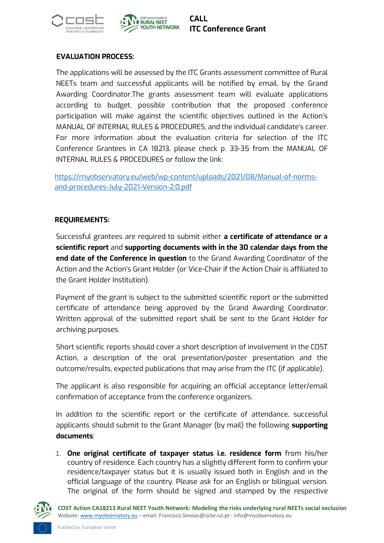



#### **EVALUATION PROCESS:**

The applications will be assessed by the ITC Grants assessment committee of Rural NEETs team and successful applicants will be notified by email, by the Grand Awarding Coordinator.The grants assessment team will evaluate applications according to budget, possible contribution that the proposed conference participation will make against the scientific objectives outlined in the Action's MANUAL OF INTERNAL RULES & PROCEDURES, and the individual candidate's career. For more information about the evaluation criteria for selection of the ITC Conference Grantees in CA 18213, please check p. 33-35 from the MANUAL OF INTERNAL RULES & PROCEDURES or follow the link:

[https://rnyobservatory.eu/web/wp-content/uploads/2021/08/Manual-of-norms](https://rnyobservatory.eu/web/wp-content/uploads/2021/08/Manual-of-norms-and-procedures-July-2021-Version-2.0.pdf)[and-procedures-July-2021-Version-2.0.pdf](https://rnyobservatory.eu/web/wp-content/uploads/2021/08/Manual-of-norms-and-procedures-July-2021-Version-2.0.pdf)

#### **REQUIREMENTS:**

Successful grantees are required to submit either **a certificate of attendance or a scientific report** and **supporting documents with in the 30 calendar days from the end date of the Conference in question** to the Grand Awarding Coordinator of the Action and the Action's Grant Holder (or Vice-Chair if the Action Chair is affiliated to the Grant Holder Institution).

Payment of the grant is subject to the submitted scientific report or the submitted certificate of attendance being approved by the Grand Awarding Coordinator. Written approval of the submitted report shall be sent to the Grant Holder for archiving purposes.

Short scientific reports should cover a short description of involvement in the COST Action, a description of the oral presentation/poster presentation and the outcome/results, expected publications that may arise from the ITC (if applicable).

The applicant is also responsible for acquiring an official acceptance letter/email confirmation of acceptance from the conference organizers.

In addition to the scientific report or the certificate of attendance, successful applicants should submit to the Grant Manager (by mail) the following **supporting documents**:

1. **One original certificate of taxpayer status i.e. residence form** from his/her country of residence. Each country has a slightly different form to confirm your residence/taxpayer status but it is usually issued both in English and in the official language of the country. Please ask for an English or bilingual version. The original of the form should be signed and stamped by the respective